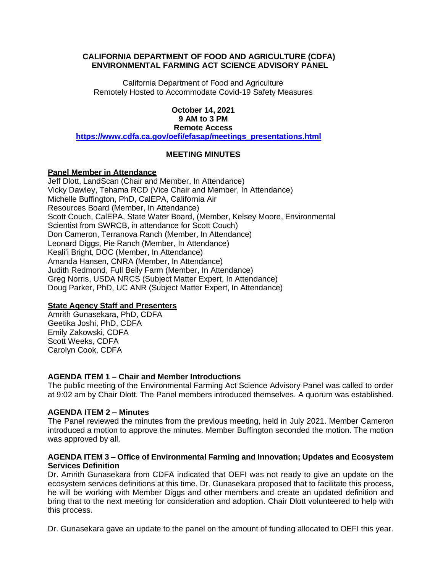# **CALIFORNIA DEPARTMENT OF FOOD AND AGRICULTURE (CDFA) ENVIRONMENTAL FARMING ACT SCIENCE ADVISORY PANEL**

 California Department of Food and Agriculture Remotely Hosted to Accommodate Covid-19 Safety Measures

### **October 14, 2021 9 AM to 3 PM Remote Access**

**[https://www.cdfa.ca.gov/oefi/efasap/meetings\\_presentations.html](https://www.cdfa.ca.gov/oefi/efasap/meetings_presentations.html)** 

# **MEETING MINUTES**

# **Panel Member in Attendance**

 Jeff Dlott, LandScan (Chair and Member, In Attendance) Vicky Dawley, Tehama RCD (Vice Chair and Member, In Attendance) Michelle Buffington, PhD, CalEPA, California Air Scientist from SWRCB, in attendance for Scott Couch) Leonard Diggs, Pie Ranch (Member, In Attendance) Keali'i Bright, DOC (Member, In Attendance) Amanda Hansen, CNRA (Member, In Attendance) Judith Redmond, Full Belly Farm (Member, In Attendance) Greg Norris, USDA NRCS (Subject Matter Expert, In Attendance) Resources Board (Member, In Attendance) Scott Couch, CalEPA, State Water Board, (Member, Kelsey Moore, Environmental Don Cameron, Terranova Ranch (Member, In Attendance) Doug Parker, PhD, UC ANR (Subject Matter Expert, In Attendance)

### **State Agency Staff and Presenters**

 Amrith Gunasekara, PhD, CDFA Geetika Joshi, PhD, CDFA Scott Weeks, CDFA Carolyn Cook, CDFA Emily Zakowski, CDFA

# **AGENDA ITEM 1 – Chair and Member Introductions**

 The public meeting of the Environmental Farming Act Science Advisory Panel was called to order at 9:02 am by Chair Dlott. The Panel members introduced themselves. A quorum was established.

### **AGENDA ITEM 2 – Minutes**

 The Panel reviewed the minutes from the previous meeting, held in July 2021. Member Cameron introduced a motion to approve the minutes. Member Buffington seconded the motion. The motion was approved by all.

### **AGENDA ITEM 3 – Office of Environmental Farming and Innovation; Updates and Ecosystem Services Definition**

 Dr. Amrith Gunasekara from CDFA indicated that OEFI was not ready to give an update on the ecosystem services definitions at this time. Dr. Gunasekara proposed that to facilitate this process, he will be working with Member Diggs and other members and create an updated definition and bring that to the next meeting for consideration and adoption. Chair Dlott volunteered to help with this process.

Dr. Gunasekara gave an update to the panel on the amount of funding allocated to OEFI this year.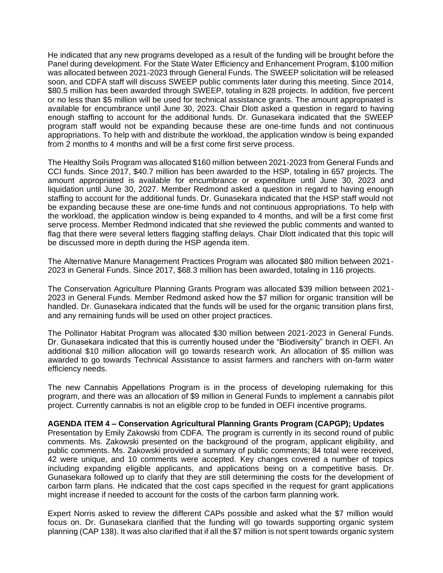He indicated that any new programs developed as a result of the funding will be brought before the Panel during development. For the State Water Efficiency and Enhancement Program, \$100 million was allocated between 2021-2023 through General Funds. The SWEEP solicitation will be released soon, and CDFA staff will discuss SWEEP public comments later during this meeting. Since 2014, \$80.5 million has been awarded through SWEEP, totaling in 828 projects. In addition, five percent or no less than \$5 million will be used for technical assistance grants. The amount appropriated is available for encumbrance until June 30, 2023. Chair Dlott asked a question in regard to having enough staffing to account for the additional funds. Dr. Gunasekara indicated that the SWEEP program staff would not be expanding because these are one-time funds and not continuous appropriations. To help with and distribute the workload, the application window is being expanded from 2 months to 4 months and will be a first come first serve process.

 The Healthy Soils Program was allocated \$160 million between 2021-2023 from General Funds and CCI funds. Since 2017, \$40.7 million has been awarded to the HSP, totaling in 657 projects. The amount appropriated is available for encumbrance or expenditure until June 30, 2023 and liquidation until June 30, 2027. Member Redmond asked a question in regard to having enough staffing to account for the additional funds. Dr. Gunasekara indicated that the HSP staff would not be expanding because these are one-time funds and not continuous appropriations. To help with the workload, the application window is being expanded to 4 months, and will be a first come first serve process. Member Redmond indicated that she reviewed the public comments and wanted to flag that there were several letters flagging staffing delays. Chair Dlott indicated that this topic will be discussed more in depth during the HSP agenda item.

 The Alternative Manure Management Practices Program was allocated \$80 million between 2021- 2023 in General Funds. Since 2017, \$68.3 million has been awarded, totaling in 116 projects.

 The Conservation Agriculture Planning Grants Program was allocated \$39 million between 2021- 2023 in General Funds. Member Redmond asked how the \$7 million for organic transition will be handled. Dr. Gunasekara indicated that the funds will be used for the organic transition plans first, and any remaining funds will be used on other project practices.

 The Pollinator Habitat Program was allocated \$30 million between 2021-2023 in General Funds. Dr. Gunasekara indicated that this is currently housed under the "Biodiversity" branch in OEFI. An additional \$10 million allocation will go towards research work. An allocation of \$5 million was awarded to go towards Technical Assistance to assist farmers and ranchers with on-farm water efficiency needs.

 The new Cannabis Appellations Program is in the process of developing rulemaking for this program, and there was an allocation of \$9 million in General Funds to implement a cannabis pilot project. Currently cannabis is not an eligible crop to be funded in OEFI incentive programs.

#### **AGENDA ITEM 4 – Conservation Agricultural Planning Grants Program (CAPGP); Updates**

 Presentation by Emily Zakowski from CDFA. The program is currently in its second round of public comments. Ms. Zakowski presented on the background of the program, applicant eligibility, and public comments. Ms. Zakowski provided a summary of public comments; 84 total were received, 42 were unique, and 10 comments were accepted. Key changes covered a number of topics including expanding eligible applicants, and applications being on a competitive basis. Dr. Gunasekara followed up to clarify that they are still determining the costs for the development of carbon farm plans. He indicated that the cost caps specified in the request for grant applications might increase if needed to account for the costs of the carbon farm planning work.

 Expert Norris asked to review the different CAPs possible and asked what the \$7 million would focus on. Dr. Gunasekara clarified that the funding will go towards supporting organic system planning (CAP 138). It was also clarified that if all the \$7 million is not spent towards organic system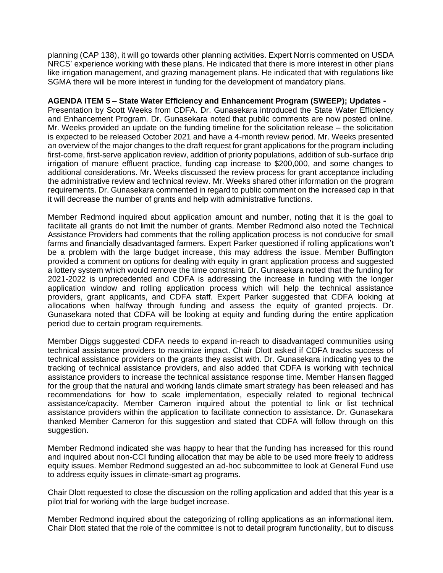planning (CAP 138), it will go towards other planning activities. Expert Norris commented on USDA NRCS' experience working with these plans. He indicated that there is more interest in other plans like irrigation management, and grazing management plans. He indicated that with regulations like SGMA there will be more interest in funding for the development of mandatory plans.

# **AGENDA ITEM 5 – State Water Efficiency and Enhancement Program (SWEEP); Updates -**

 Presentation by Scott Weeks from CDFA. Dr. Gunasekara introduced the State Water Efficiency and Enhancement Program. Dr. Gunasekara noted that public comments are now posted online. Mr. Weeks provided an update on the funding timeline for the solicitation release – the solicitation is expected to be released October 2021 and have a 4-month review period. Mr. Weeks presented an overview of the major changes to the draft request for grant applications for the program including first-come, first-serve application review, addition of priority populations, addition of sub-surface drip irrigation of manure effluent practice, funding cap increase to \$200,000, and some changes to additional considerations. Mr. Weeks discussed the review process for grant acceptance including the administrative review and technical review. Mr. Weeks shared other information on the program requirements. Dr. Gunasekara commented in regard to public comment on the increased cap in that it will decrease the number of grants and help with administrative functions.

 Member Redmond inquired about application amount and number, noting that it is the goal to facilitate all grants do not limit the number of grants. Member Redmond also noted the Technical Assistance Providers had comments that the rolling application process is not conducive for small farms and financially disadvantaged farmers. Expert Parker questioned if rolling applications won't be a problem with the large budget increase, this may address the issue. Member Buffington provided a comment on options for dealing with equity in grant application process and suggested a lottery system which would remove the time constraint. Dr. Gunasekara noted that the funding for 2021-2022 is unprecedented and CDFA is addressing the increase in funding with the longer application window and rolling application process which will help the technical assistance providers, grant applicants, and CDFA staff. Expert Parker suggested that CDFA looking at allocations when halfway through funding and assess the equity of granted projects. Dr. Gunasekara noted that CDFA will be looking at equity and funding during the entire application period due to certain program requirements.

 Member Diggs suggested CDFA needs to expand in-reach to disadvantaged communities using technical assistance providers to maximize impact. Chair Dlott asked if CDFA tracks success of technical assistance providers on the grants they assist with. Dr. Gunasekara indicating yes to the tracking of technical assistance providers, and also added that CDFA is working with technical assistance providers to increase the technical assistance response time. Member Hansen flagged for the group that the natural and working lands climate smart strategy has been released and has recommendations for how to scale implementation, especially related to regional technical assistance/capacity. Member Cameron inquired about the potential to link or list technical assistance providers within the application to facilitate connection to assistance. Dr. Gunasekara thanked Member Cameron for this suggestion and stated that CDFA will follow through on this suggestion.

 Member Redmond indicated she was happy to hear that the funding has increased for this round and inquired about non-CCI funding allocation that may be able to be used more freely to address equity issues. Member Redmond suggested an ad-hoc subcommittee to look at General Fund use to address equity issues in climate-smart ag programs.

 Chair Dlott requested to close the discussion on the rolling application and added that this year is a pilot trial for working with the large budget increase.

 Member Redmond inquired about the categorizing of rolling applications as an informational item. Chair Dlott stated that the role of the committee is not to detail program functionality, but to discuss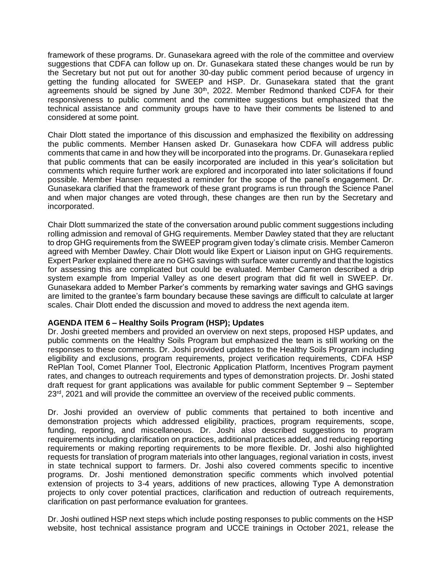framework of these programs. Dr. Gunasekara agreed with the role of the committee and overview suggestions that CDFA can follow up on. Dr. Gunasekara stated these changes would be run by the Secretary but not put out for another 30-day public comment period because of urgency in getting the funding allocated for SWEEP and HSP. Dr. Gunasekara stated that the grant agreements should be signed by June  $30<sup>th</sup>$ , 2022. Member Redmond thanked CDFA for their responsiveness to public comment and the committee suggestions but emphasized that the technical assistance and community groups have to have their comments be listened to and considered at some point.

 Chair Dlott stated the importance of this discussion and emphasized the flexibility on addressing the public comments. Member Hansen asked Dr. Gunasekara how CDFA will address public comments that came in and how they will be incorporated into the programs. Dr. Gunasekara replied that public comments that can be easily incorporated are included in this year's solicitation but comments which require further work are explored and incorporated into later solicitations if found possible. Member Hansen requested a reminder for the scope of the panel's engagement. Dr. Gunasekara clarified that the framework of these grant programs is run through the Science Panel and when major changes are voted through, these changes are then run by the Secretary and incorporated.

 Chair Dlott summarized the state of the conversation around public comment suggestions including rolling admission and removal of GHG requirements. Member Dawley stated that they are reluctant to drop GHG requirements from the SWEEP program given today's climate crisis. Member Cameron agreed with Member Dawley. Chair Dlott would like Expert or Liaison input on GHG requirements. Expert Parker explained there are no GHG savings with surface water currently and that the logistics for assessing this are complicated but could be evaluated. Member Cameron described a drip system example from Imperial Valley as one desert program that did fit well in SWEEP. Dr. Gunasekara added to Member Parker's comments by remarking water savings and GHG savings are limited to the grantee's farm boundary because these savings are difficult to calculate at larger scales. Chair Dlott ended the discussion and moved to address the next agenda item.

### **AGENDA ITEM 6 – Healthy Soils Program (HSP); Updates**

 Dr. Joshi greeted members and provided an overview on next steps, proposed HSP updates, and public comments on the Healthy Soils Program but emphasized the team is still working on the responses to these comments. Dr. Joshi provided updates to the Healthy Soils Program including eligibility and exclusions, program requirements, project verification requirements, CDFA HSP RePlan Tool, Comet Planner Tool, Electronic Application Platform, Incentives Program payment rates, and changes to outreach requirements and types of demonstration projects. Dr. Joshi stated draft request for grant applications was available for public comment September 9 – September 23<sup>rd</sup>, 2021 and will provide the committee an overview of the received public comments.

 Dr. Joshi provided an overview of public comments that pertained to both incentive and demonstration projects which addressed eligibility, practices, program requirements, scope, funding, reporting, and miscellaneous. Dr. Joshi also described suggestions to program requirements including clarification on practices, additional practices added, and reducing reporting requirements or making reporting requirements to be more flexible. Dr. Joshi also highlighted requests for translation of program materials into other languages, regional variation in costs, invest in state technical support to farmers. Dr. Joshi also covered comments specific to incentive programs. Dr. Joshi mentioned demonstration specific comments which involved potential extension of projects to 3-4 years, additions of new practices, allowing Type A demonstration projects to only cover potential practices, clarification and reduction of outreach requirements, clarification on past performance evaluation for grantees.

 Dr. Joshi outlined HSP next steps which include posting responses to public comments on the HSP website, host technical assistance program and UCCE trainings in October 2021, release the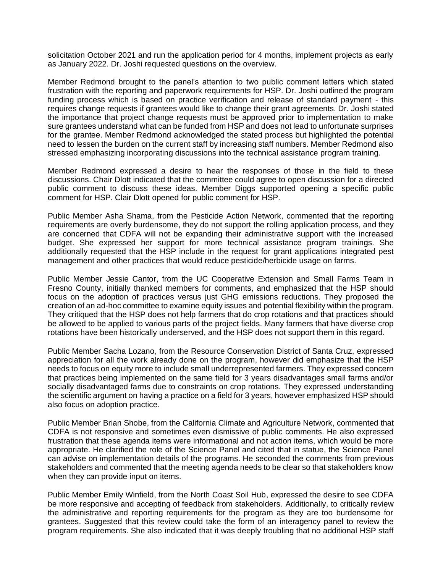solicitation October 2021 and run the application period for 4 months, implement projects as early as January 2022. Dr. Joshi requested questions on the overview.

 Member Redmond brought to the panel's attention to two public comment letters which stated frustration with the reporting and paperwork requirements for HSP. Dr. Joshi outlined the program funding process which is based on practice verification and release of standard payment - this requires change requests if grantees would like to change their grant agreements. Dr. Joshi stated the importance that project change requests must be approved prior to implementation to make sure grantees understand what can be funded from HSP and does not lead to unfortunate surprises for the grantee. Member Redmond acknowledged the stated process but highlighted the potential need to lessen the burden on the current staff by increasing staff numbers. Member Redmond also stressed emphasizing incorporating discussions into the technical assistance program training.

 Member Redmond expressed a desire to hear the responses of those in the field to these discussions. Chair Dlott indicated that the committee could agree to open discussion for a directed public comment to discuss these ideas. Member Diggs supported opening a specific public comment for HSP. Clair Dlott opened for public comment for HSP.

 Public Member Asha Shama, from the Pesticide Action Network, commented that the reporting requirements are overly burdensome, they do not support the rolling application process, and they are concerned that CDFA will not be expanding their administrative support with the increased budget. She expressed her support for more technical assistance program trainings. She additionally requested that the HSP include in the request for grant applications integrated pest management and other practices that would reduce pesticide/herbicide usage on farms.

 Public Member Jessie Cantor, from the UC Cooperative Extension and Small Farms Team in Fresno County, initially thanked members for comments, and emphasized that the HSP should focus on the adoption of practices versus just GHG emissions reductions. They proposed the creation of an ad-hoc committee to examine equity issues and potential flexibility within the program. They critiqued that the HSP does not help farmers that do crop rotations and that practices should be allowed to be applied to various parts of the project fields. Many farmers that have diverse crop rotations have been historically underserved, and the HSP does not support them in this regard.

 Public Member Sacha Lozano, from the Resource Conservation District of Santa Cruz, expressed appreciation for all the work already done on the program, however did emphasize that the HSP needs to focus on equity more to include small underrepresented farmers. They expressed concern that practices being implemented on the same field for 3 years disadvantages small farms and/or socially disadvantaged farms due to constraints on crop rotations. They expressed understanding the scientific argument on having a practice on a field for 3 years, however emphasized HSP should also focus on adoption practice.

 Public Member Brian Shobe, from the California Climate and Agriculture Network, commented that CDFA is not responsive and sometimes even dismissive of public comments. He also expressed frustration that these agenda items were informational and not action items, which would be more appropriate. He clarified the role of the Science Panel and cited that in statue, the Science Panel can advise on implementation details of the programs. He seconded the comments from previous stakeholders and commented that the meeting agenda needs to be clear so that stakeholders know when they can provide input on items.

 Public Member Emily Winfield, from the North Coast Soil Hub, expressed the desire to see CDFA be more responsive and accepting of feedback from stakeholders. Additionally, to critically review the administrative and reporting requirements for the program as they are too burdensome for grantees. Suggested that this review could take the form of an interagency panel to review the program requirements. She also indicated that it was deeply troubling that no additional HSP staff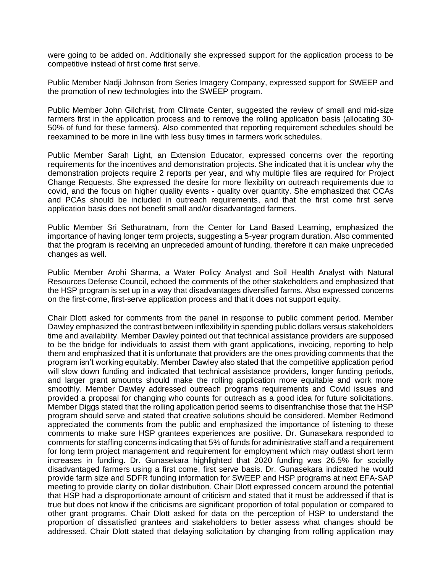were going to be added on. Additionally she expressed support for the application process to be competitive instead of first come first serve.

 Public Member Nadji Johnson from Series Imagery Company, expressed support for SWEEP and the promotion of new technologies into the SWEEP program.

 Public Member John Gilchrist, from Climate Center, suggested the review of small and mid-size farmers first in the application process and to remove the rolling application basis (allocating 30- 50% of fund for these farmers). Also commented that reporting requirement schedules should be reexamined to be more in line with less busy times in farmers work schedules.

 Public Member Sarah Light, an Extension Educator, expressed concerns over the reporting requirements for the incentives and demonstration projects. She indicated that it is unclear why the demonstration projects require 2 reports per year, and why multiple files are required for Project Change Requests. She expressed the desire for more flexibility on outreach requirements due to covid, and the focus on higher quality events - quality over quantity. She emphasized that CCAs and PCAs should be included in outreach requirements, and that the first come first serve application basis does not benefit small and/or disadvantaged farmers.

 Public Member Sri Sethuratnam, from the Center for Land Based Learning, emphasized the importance of having longer term projects, suggesting a 5-year program duration. Also commented that the program is receiving an unpreceded amount of funding, therefore it can make unpreceded changes as well.

 Public Member Arohi Sharma, a Water Policy Analyst and Soil Health Analyst with Natural Resources Defense Council, echoed the comments of the other stakeholders and emphasized that the HSP program is set up in a way that disadvantages diversified farms. Also expressed concerns on the first-come, first-serve application process and that it does not support equity.

 Chair Dlott asked for comments from the panel in response to public comment period. Member Dawley emphasized the contrast between inflexibility in spending public dollars versus stakeholders time and availability. Member Dawley pointed out that technical assistance providers are supposed to be the bridge for individuals to assist them with grant applications, invoicing, reporting to help them and emphasized that it is unfortunate that providers are the ones providing comments that the program isn't working equitably. Member Dawley also stated that the competitive application period will slow down funding and indicated that technical assistance providers, longer funding periods, and larger grant amounts should make the rolling application more equitable and work more smoothly. Member Dawley addressed outreach programs requirements and Covid issues and provided a proposal for changing who counts for outreach as a good idea for future solicitations. Member Diggs stated that the rolling application period seems to disenfranchise those that the HSP program should serve and stated that creative solutions should be considered. Member Redmond appreciated the comments from the public and emphasized the importance of listening to these comments to make sure HSP grantees experiences are positive. Dr. Gunasekara responded to comments for staffing concerns indicating that 5% of funds for administrative staff and a requirement for long term project management and requirement for employment which may outlast short term increases in funding. Dr. Gunasekara highlighted that 2020 funding was 26.5% for socially disadvantaged farmers using a first come, first serve basis. Dr. Gunasekara indicated he would provide farm size and SDFR funding information for SWEEP and HSP programs at next EFA-SAP meeting to provide clarity on dollar distribution. Chair Dlott expressed concern around the potential that HSP had a disproportionate amount of criticism and stated that it must be addressed if that is true but does not know if the criticisms are significant proportion of total population or compared to other grant programs. Chair Dlott asked for data on the perception of HSP to understand the proportion of dissatisfied grantees and stakeholders to better assess what changes should be addressed. Chair Dlott stated that delaying solicitation by changing from rolling application may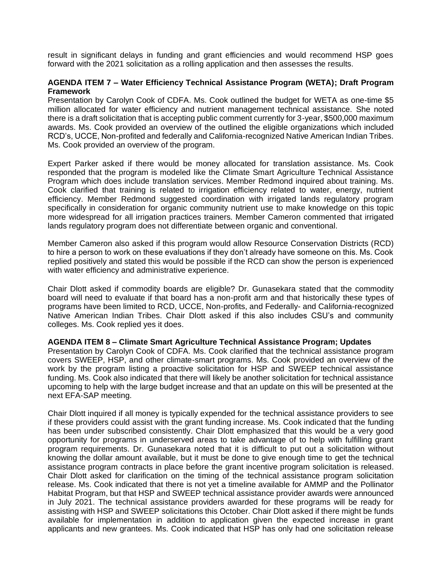result in significant delays in funding and grant efficiencies and would recommend HSP goes forward with the 2021 solicitation as a rolling application and then assesses the results.

### **AGENDA ITEM 7 – Water Efficiency Technical Assistance Program (WETA); Draft Program Framework**

 Presentation by Carolyn Cook of CDFA. Ms. Cook outlined the budget for WETA as one-time \$5 million allocated for water efficiency and nutrient management technical assistance. She noted there is a draft solicitation that is accepting public comment currently for 3-year, \$500,000 maximum awards. Ms. Cook provided an overview of the outlined the eligible organizations which included RCD's, UCCE, Non-profited and federally and California-recognized Native American Indian Tribes. Ms. Cook provided an overview of the program.

 Expert Parker asked if there would be money allocated for translation assistance. Ms. Cook responded that the program is modeled like the Climate Smart Agriculture Technical Assistance Program which does include translation services. Member Redmond inquired about training. Ms. Cook clarified that training is related to irrigation efficiency related to water, energy, nutrient efficiency. Member Redmond suggested coordination with irrigated lands regulatory program specifically in consideration for organic community nutrient use to make knowledge on this topic more widespread for all irrigation practices trainers. Member Cameron commented that irrigated lands regulatory program does not differentiate between organic and conventional.

 Member Cameron also asked if this program would allow Resource Conservation Districts (RCD) to hire a person to work on these evaluations if they don't already have someone on this. Ms. Cook replied positively and stated this would be possible if the RCD can show the person is experienced with water efficiency and administrative experience.

 Chair Dlott asked if commodity boards are eligible? Dr. Gunasekara stated that the commodity board will need to evaluate if that board has a non-profit arm and that historically these types of programs have been limited to RCD, UCCE, Non-profits, and Federally- and California-recognized Native American Indian Tribes. Chair Dlott asked if this also includes CSU's and community colleges. Ms. Cook replied yes it does.

#### **AGENDA ITEM 8 – Climate Smart Agriculture Technical Assistance Program; Updates**

 Presentation by Carolyn Cook of CDFA. Ms. Cook clarified that the technical assistance program covers SWEEP, HSP, and other climate-smart programs. Ms. Cook provided an overview of the work by the program listing a proactive solicitation for HSP and SWEEP technical assistance funding. Ms. Cook also indicated that there will likely be another solicitation for technical assistance upcoming to help with the large budget increase and that an update on this will be presented at the next EFA-SAP meeting.

 Chair Dlott inquired if all money is typically expended for the technical assistance providers to see if these providers could assist with the grant funding increase. Ms. Cook indicated that the funding has been under subscribed consistently. Chair Dlott emphasized that this would be a very good opportunity for programs in underserved areas to take advantage of to help with fulfilling grant program requirements. Dr. Gunasekara noted that it is difficult to put out a solicitation without knowing the dollar amount available, but it must be done to give enough time to get the technical assistance program contracts in place before the grant incentive program solicitation is released. Chair Dlott asked for clarification on the timing of the technical assistance program solicitation release. Ms. Cook indicated that there is not yet a timeline available for AMMP and the Pollinator Habitat Program, but that HSP and SWEEP technical assistance provider awards were announced in July 2021. The technical assistance providers awarded for these programs will be ready for assisting with HSP and SWEEP solicitations this October. Chair Dlott asked if there might be funds available for implementation in addition to application given the expected increase in grant applicants and new grantees. Ms. Cook indicated that HSP has only had one solicitation release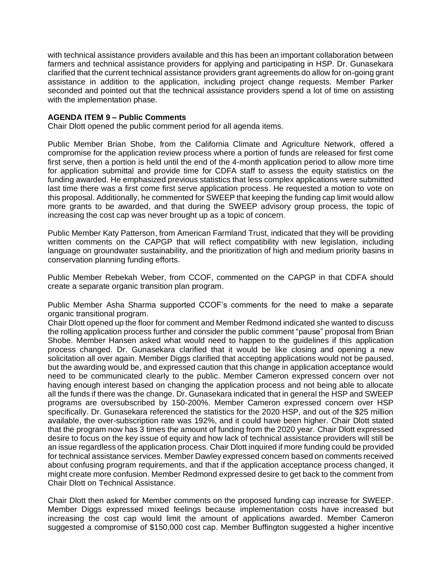with technical assistance providers available and this has been an important collaboration between farmers and technical assistance providers for applying and participating in HSP. Dr. Gunasekara clarified that the current technical assistance providers grant agreements do allow for on-going grant assistance in addition to the application, including project change requests. Member Parker seconded and pointed out that the technical assistance providers spend a lot of time on assisting with the implementation phase.

### **AGENDA ITEM 9 – Public Comments**

Chair Dlott opened the public comment period for all agenda items.

 Public Member Brian Shobe, from the California Climate and Agriculture Network, offered a compromise for the application review process where a portion of funds are released for first come first serve, then a portion is held until the end of the 4-month application period to allow more time for application submittal and provide time for CDFA staff to assess the equity statistics on the funding awarded. He emphasized previous statistics that less complex applications were submitted last time there was a first come first serve application process. He requested a motion to vote on this proposal. Additionally, he commented for SWEEP that keeping the funding cap limit would allow more grants to be awarded, and that during the SWEEP advisory group process, the topic of increasing the cost cap was never brought up as a topic of concern.

 Public Member Katy Patterson, from American Farmland Trust, indicated that they will be providing written comments on the CAPGP that will reflect compatibility with new legislation, including language on groundwater sustainability, and the prioritization of high and medium priority basins in conservation planning funding efforts.

 Public Member Rebekah Weber, from CCOF, commented on the CAPGP in that CDFA should create a separate organic transition plan program.

 Public Member Asha Sharma supported CCOF's comments for the need to make a separate organic transitional program.

 Chair Dlott opened up the floor for comment and Member Redmond indicated she wanted to discuss the rolling application process further and consider the public comment "pause" proposal from Brian Shobe. Member Hansen asked what would need to happen to the guidelines if this application process changed. Dr. Gunasekara clarified that it would be like closing and opening a new solicitation all over again. Member Diggs clarified that accepting applications would not be paused, but the awarding would be, and expressed caution that this change in application acceptance would need to be communicated clearly to the public. Member Cameron expressed concern over not having enough interest based on changing the application process and not being able to allocate all the funds if there was the change. Dr. Gunasekara indicated that in general the HSP and SWEEP programs are oversubscribed by 150-200%. Member Cameron expressed concern over HSP specifically. Dr. Gunasekara referenced the statistics for the 2020 HSP, and out of the \$25 million available, the over-subscription rate was 192%, and it could have been higher. Chair Dlott stated that the program now has 3 times the amount of funding from the 2020 year. Chair Dlott expressed desire to focus on the key issue of equity and how lack of technical assistance providers will still be an issue regardless of the application process. Chair Dlott inquired if more funding could be provided for technical assistance services. Member Dawley expressed concern based on comments received about confusing program requirements, and that if the application acceptance process changed, it might create more confusion. Member Redmond expressed desire to get back to the comment from Chair Dlott on Technical Assistance.

 Chair Dlott then asked for Member comments on the proposed funding cap increase for SWEEP. increasing the cost cap would limit the amount of applications awarded. Member Cameron suggested a compromise of \$150,000 cost cap. Member Buffington suggested a higher incentive Member Diggs expressed mixed feelings because implementation costs have increased but